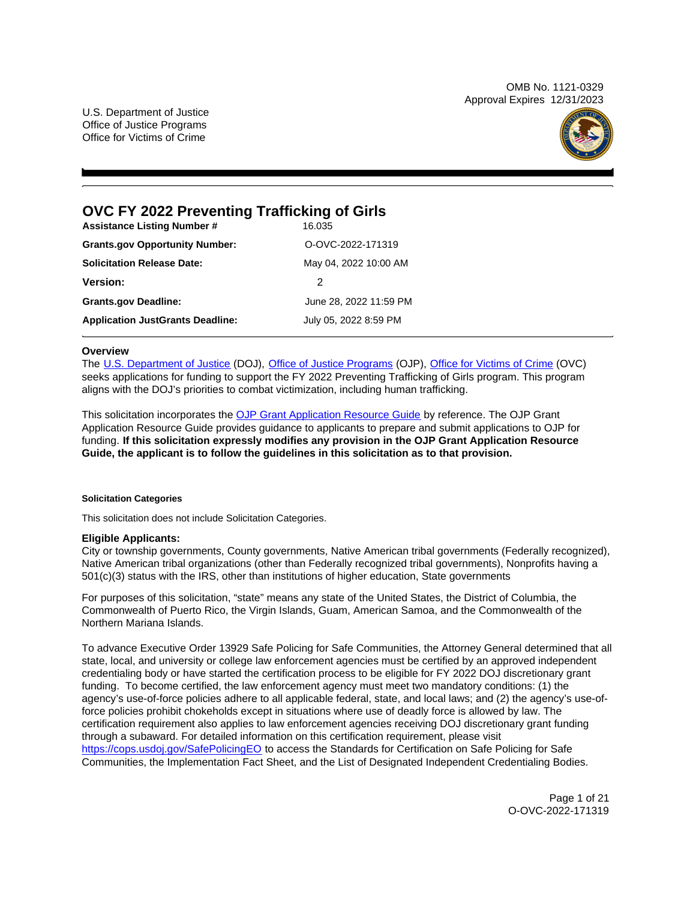OMB No. 1121-0329 Approval Expires 12/31/2023

U.S. Department of Justice Office of Justice Programs Office for Victims of Crime



# **OVC FY 2022 Preventing Trafficking of Girls**

| <b>Assistance Listing Number #</b>      | 16.035                 |
|-----------------------------------------|------------------------|
| <b>Grants.gov Opportunity Number:</b>   | O-OVC-2022-171319      |
| <b>Solicitation Release Date:</b>       | May 04, 2022 10:00 AM  |
| <b>Version:</b>                         | 2                      |
| <b>Grants.gov Deadline:</b>             | June 28, 2022 11:59 PM |
| <b>Application JustGrants Deadline:</b> | July 05, 2022 8:59 PM  |

# **Overview**

The [U.S. Department of Justice](https://www.usdoj.gov/) (DOJ), [Office of Justice Programs](https://www.ojp.gov/) (OJP), [Office for Victims of Crime](https://ovc.ojp.gov/) (OVC) seeks applications for funding to support the FY 2022 Preventing Trafficking of Girls program. This program aligns with the DOJ's priorities to combat victimization, including human trafficking.

This solicitation incorporates the [OJP Grant Application Resource Guide](https://www.ojp.gov/funding/Apply/Resources/Grant-App-Resource-Guide.htm) by reference. The OJP Grant Application Resource Guide provides guidance to applicants to prepare and submit applications to OJP for funding. **If this solicitation expressly modifies any provision in the OJP Grant Application Resource Guide, the applicant is to follow the guidelines in this solicitation as to that provision.** 

# **Solicitation Categories**

This solicitation does not include Solicitation Categories.

# **Eligible Applicants:**

City or township governments, County governments, Native American tribal governments (Federally recognized), Native American tribal organizations (other than Federally recognized tribal governments), Nonprofits having a 501(c)(3) status with the IRS, other than institutions of higher education, State governments

For purposes of this solicitation, "state" means any state of the United States, the District of Columbia, the Commonwealth of Puerto Rico, the Virgin Islands, Guam, American Samoa, and the Commonwealth of the Northern Mariana Islands.

To advance Executive Order 13929 Safe Policing for Safe Communities, the Attorney General determined that all state, local, and university or college law enforcement agencies must be certified by an approved independent credentialing body or have started the certification process to be eligible for FY 2022 DOJ discretionary grant funding. To become certified, the law enforcement agency must meet two mandatory conditions: (1) the agency's use-of-force policies adhere to all applicable federal, state, and local laws; and (2) the agency's use-offorce policies prohibit chokeholds except in situations where use of deadly force is allowed by law. The certification requirement also applies to law enforcement agencies receiving DOJ discretionary grant funding through a subaward. For detailed information on this certification requirement, please visit [https://cops.usdoj.gov/SafePolicingEO](https://cops.usdoj.gov/SafePolicingEO%20) to access the Standards for Certification on Safe Policing for Safe Communities, the Implementation Fact Sheet, and the List of Designated Independent Credentialing Bodies.

> Page 1 of 21 O-OVC-2022-171319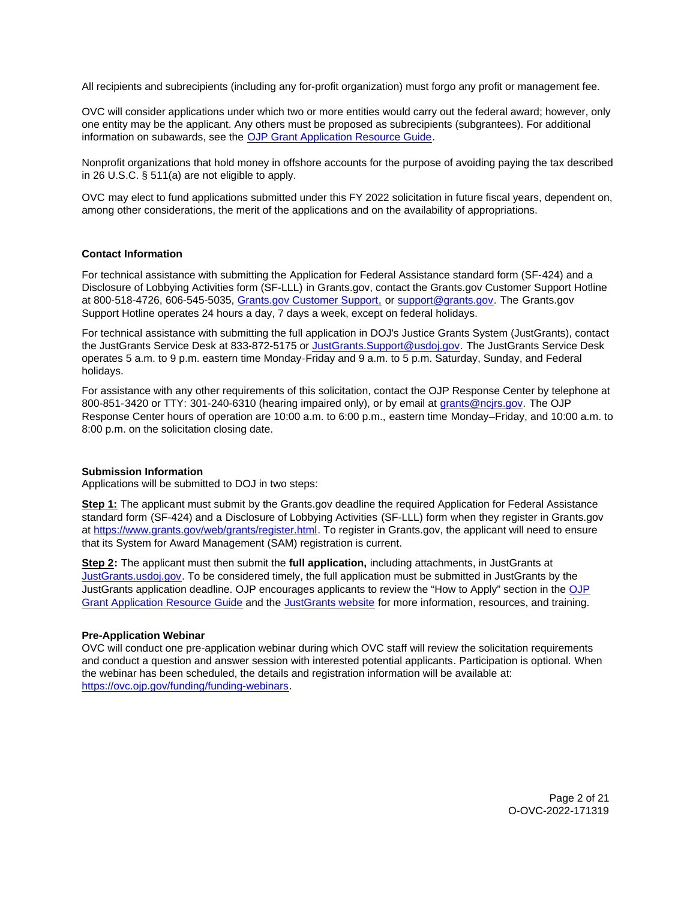<span id="page-1-0"></span>All recipients and subrecipients (including any for-profit organization) must forgo any profit or management fee.

OVC will consider applications under which two or more entities would carry out the federal award; however, only one entity may be the applicant. Any others must be proposed as subrecipients (subgrantees). For additional information on subawards, see the [OJP Grant Application Resource Guide.](https://www.ojp.gov/funding/Apply/Resources/Grant-App-Resource-Guide.htm)

Nonprofit organizations that hold money in offshore accounts for the purpose of avoiding paying the tax described in 26 U.S.C. § 511(a) are not eligible to apply.

OVC may elect to fund applications submitted under this FY 2022 solicitation in future fiscal years, dependent on, among other considerations, the merit of the applications and on the availability of appropriations.

#### **Contact Information**

For technical assistance with submitting the Application for Federal Assistance standard form (SF-424) and a Disclosure of Lobbying Activities form (SF-LLL) in [Grants.gov](https://Grants.gov), contact the [Grants.gov](https://Grants.gov) Customer Support Hotline at 800-518-4726, 606-545-5035, [Grants.gov Customer Support,](https://www.grants.gov/web/grants/support.html) or [support@grants.gov.](mailto:support@grants.gov) The [Grants.gov](https://Grants.gov) Support Hotline operates 24 hours a day, 7 days a week, except on federal holidays.

For technical assistance with submitting the full application in DOJ's Justice Grants System (JustGrants), contact the JustGrants Service Desk at 833-872-5175 or [JustGrants.Support@usdoj.gov.](mailto:JustGrants.Support@usdoj.gov) The JustGrants Service Desk operates 5 a.m. to 9 p.m. eastern time Monday-Friday and 9 a.m. to 5 p.m. Saturday, Sunday, and Federal holidays.

For assistance with any other requirements of this solicitation, contact the OJP Response Center by telephone at 800-851-3420 or TTY: 301-240-6310 (hearing impaired only), or by email at [grants@ncjrs.gov.](mailto:grants@ncjrs.gov) The OJP Response Center hours of operation are 10:00 a.m. to 6:00 p.m., eastern time Monday–Friday, and 10:00 a.m. to 8:00 p.m. on the solicitation closing date.

#### **Submission Information**

Applications will be submitted to DOJ in two steps:

**Step 1:** The applicant must submit by the [Grants.gov](https://Grants.gov) deadline the required Application for Federal Assistance standard form (SF-424) and a Disclosure of Lobbying Activities (SF-LLL) form when they register in [Grants.gov](https://Grants.gov) at [https://www.grants.gov/web/grants/register.html.](https://www.grants.gov/web/grants/register.html) To register in [Grants.gov](https://Grants.gov), the applicant will need to ensure that its System for Award Management (SAM) registration is current.

**Step 2:** The applicant must then submit the **full application,** including attachments, in JustGrants at [JustGrants.usdoj.gov.](https://justicegrants.usdoj.gov/) To be considered timely, the full application must be submitted in JustGrants by the JustGrants application deadline. OJP encourages applicants to review the "How to Apply" section in the [OJP](https://www.ojp.gov/funding/apply/ojp-grant-application-resource-guide#apply)  [Grant Application Resource Guide](https://www.ojp.gov/funding/apply/ojp-grant-application-resource-guide#apply) and the [JustGrants website](https://justicegrants.usdoj.gov/news) for more information, resources, and training.

#### **Pre-Application Webinar**

OVC will conduct one pre-application webinar during which OVC staff will review the solicitation requirements and conduct a question and answer session with interested potential applicants. Participation is optional. When the webinar has been scheduled, the details and registration information will be available at: [https://ovc.ojp.gov/funding/funding-webinars.](https://ovc.ojp.gov/funding/funding-webinars)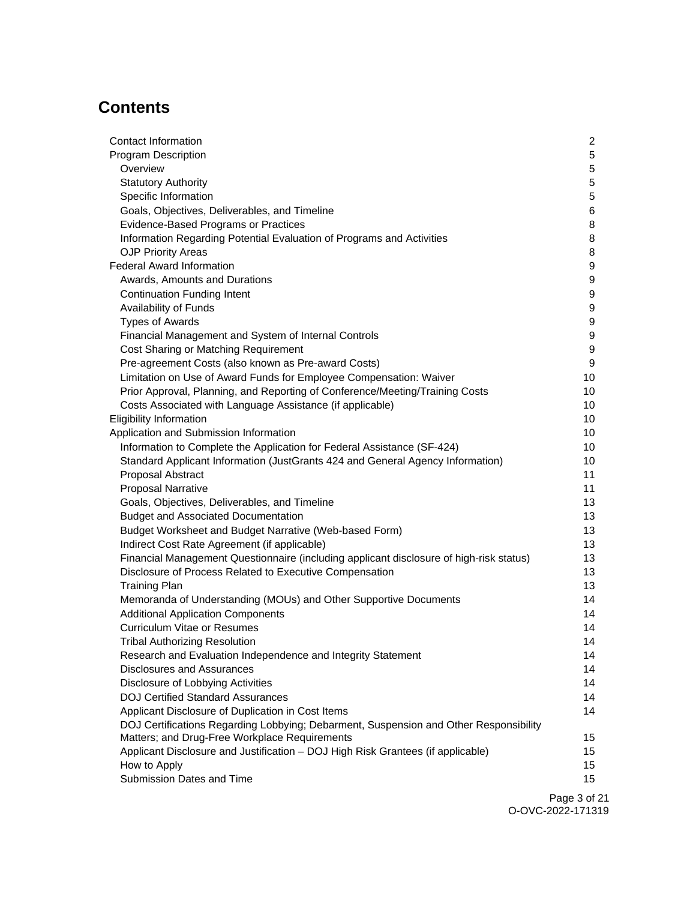# **Contents**

| Contact Information                                                                     | $\overline{2}$ |
|-----------------------------------------------------------------------------------------|----------------|
| <b>Program Description</b>                                                              | 5              |
| Overview                                                                                | 5              |
| <b>Statutory Authority</b>                                                              | 5              |
| Specific Information                                                                    | 5              |
| Goals, Objectives, Deliverables, and Timeline                                           | 6              |
| Evidence-Based Programs or Practices                                                    | 8              |
| Information Regarding Potential Evaluation of Programs and Activities                   | 8              |
| <b>OJP Priority Areas</b>                                                               | 8              |
| <b>Federal Award Information</b>                                                        | 9              |
| Awards, Amounts and Durations                                                           | 9              |
| <b>Continuation Funding Intent</b>                                                      | 9              |
| Availability of Funds                                                                   | 9              |
| <b>Types of Awards</b>                                                                  | 9              |
| Financial Management and System of Internal Controls                                    | 9              |
| Cost Sharing or Matching Requirement                                                    | 9              |
| Pre-agreement Costs (also known as Pre-award Costs)                                     | 9              |
| Limitation on Use of Award Funds for Employee Compensation: Waiver                      | 10             |
| Prior Approval, Planning, and Reporting of Conference/Meeting/Training Costs            | 10             |
| Costs Associated with Language Assistance (if applicable)                               | 10             |
| <b>Eligibility Information</b>                                                          | 10             |
| Application and Submission Information                                                  | 10             |
| Information to Complete the Application for Federal Assistance (SF-424)                 | 10             |
| Standard Applicant Information (JustGrants 424 and General Agency Information)          | 10             |
| Proposal Abstract                                                                       | 11             |
| <b>Proposal Narrative</b>                                                               | 11             |
| Goals, Objectives, Deliverables, and Timeline                                           | 13             |
| <b>Budget and Associated Documentation</b>                                              | 13             |
| Budget Worksheet and Budget Narrative (Web-based Form)                                  | 13             |
| Indirect Cost Rate Agreement (if applicable)                                            | 13             |
| Financial Management Questionnaire (including applicant disclosure of high-risk status) | 13             |
| Disclosure of Process Related to Executive Compensation                                 | 13             |
| <b>Training Plan</b>                                                                    | 13             |
| Memoranda of Understanding (MOUs) and Other Supportive Documents                        | 14             |
| <b>Additional Application Components</b>                                                | 14             |
| <b>Curriculum Vitae or Resumes</b>                                                      | 14             |
| <b>Tribal Authorizing Resolution</b>                                                    | 14             |
| Research and Evaluation Independence and Integrity Statement                            | 14             |
| <b>Disclosures and Assurances</b>                                                       | 14             |
| Disclosure of Lobbying Activities                                                       | 14             |
| <b>DOJ Certified Standard Assurances</b>                                                | 14             |
| Applicant Disclosure of Duplication in Cost Items                                       | 14             |
| DOJ Certifications Regarding Lobbying; Debarment, Suspension and Other Responsibility   |                |
| Matters; and Drug-Free Workplace Requirements                                           | 15             |
| Applicant Disclosure and Justification - DOJ High Risk Grantees (if applicable)         | 15             |
| How to Apply<br>Submission Dates and Time                                               | 15<br>15       |
|                                                                                         |                |
|                                                                                         |                |

Page 3 of 21 O-OVC-2022-171319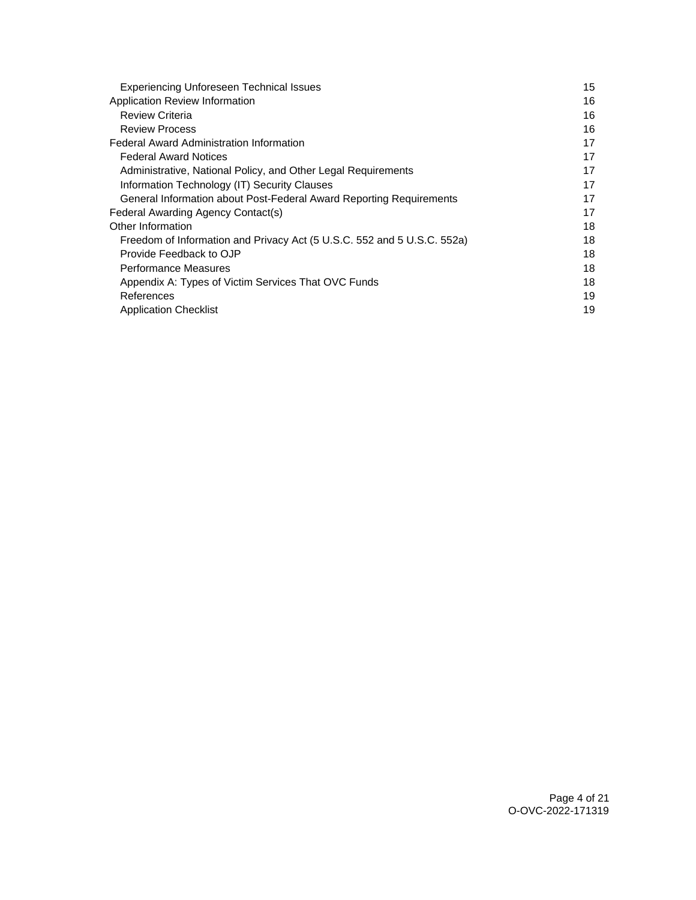| <b>Experiencing Unforeseen Technical Issues</b>                         | 15 |
|-------------------------------------------------------------------------|----|
| Application Review Information                                          | 16 |
| <b>Review Criteria</b>                                                  | 16 |
| <b>Review Process</b>                                                   | 16 |
| Federal Award Administration Information                                | 17 |
| <b>Federal Award Notices</b>                                            | 17 |
| Administrative, National Policy, and Other Legal Requirements           | 17 |
| Information Technology (IT) Security Clauses                            | 17 |
| General Information about Post-Federal Award Reporting Requirements     | 17 |
| Federal Awarding Agency Contact(s)                                      | 17 |
| Other Information                                                       | 18 |
| Freedom of Information and Privacy Act (5 U.S.C. 552 and 5 U.S.C. 552a) | 18 |
| Provide Feedback to OJP                                                 | 18 |
| Performance Measures                                                    | 18 |
| Appendix A: Types of Victim Services That OVC Funds                     | 18 |
| References                                                              | 19 |
| <b>Application Checklist</b>                                            | 19 |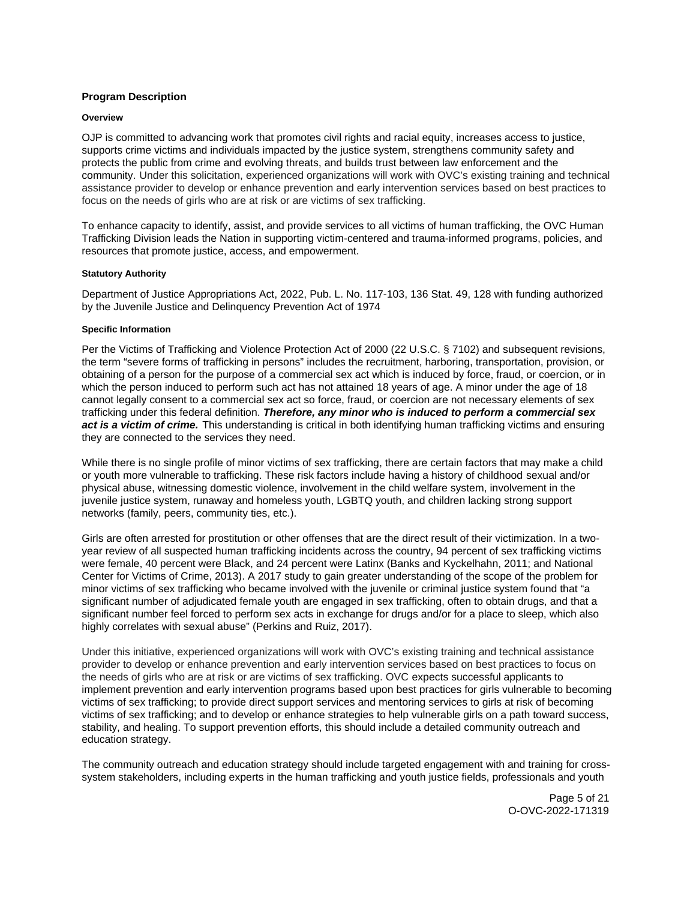# <span id="page-4-0"></span>**Program Description**

## **Overview**

OJP is committed to advancing work that promotes civil rights and racial equity, increases access to justice, supports crime victims and individuals impacted by the justice system, strengthens community safety and protects the public from crime and evolving threats, and builds trust between law enforcement and the community. Under this solicitation, experienced organizations will work with OVC's existing training and technical assistance provider to develop or enhance prevention and early intervention services based on best practices to focus on the needs of girls who are at risk or are victims of sex trafficking.

To enhance capacity to identify, assist, and provide services to all victims of human trafficking, the OVC Human Trafficking Division leads the Nation in supporting victim-centered and trauma-informed programs, policies, and resources that promote justice, access, and empowerment.

## **Statutory Authority**

Department of Justice Appropriations Act, 2022, Pub. L. No. 117-103, 136 Stat. 49, 128 with funding authorized by the Juvenile Justice and Delinquency Prevention Act of 1974

## **Specific Information**

Per the Victims of Trafficking and Violence Protection Act of 2000 (22 U.S.C. § 7102) and subsequent revisions, the term "severe forms of trafficking in persons" includes the recruitment, harboring, transportation, provision, or obtaining of a person for the purpose of a commercial sex act which is induced by force, fraud, or coercion, or in which the person induced to perform such act has not attained 18 years of age. A minor under the age of 18 cannot legally consent to a commercial sex act so force, fraud, or coercion are not necessary elements of sex trafficking under this federal definition. **Therefore, any minor who is induced to perform a commercial sex act is a victim of crime.** This understanding is critical in both identifying human trafficking victims and ensuring they are connected to the services they need.

While there is no single profile of minor victims of sex trafficking, there are certain factors that may make a child or youth more vulnerable to trafficking. These risk factors include having a history of childhood sexual and/or physical abuse, witnessing domestic violence, involvement in the child welfare system, involvement in the juvenile justice system, runaway and homeless youth, LGBTQ youth, and children lacking strong support networks (family, peers, community ties, etc.).

Girls are often arrested for prostitution or other offenses that are the direct result of their victimization. In a twoyear review of all suspected human trafficking incidents across the country, 94 percent of sex trafficking victims were female, 40 percent were Black, and 24 percent were Latinx (Banks and Kyckelhahn, 2011; and National Center for Victims of Crime, 2013). A 2017 study to gain greater understanding of the scope of the problem for minor victims of sex trafficking who became involved with the juvenile or criminal justice system found that "a significant number of adjudicated female youth are engaged in sex trafficking, often to obtain drugs, and that a significant number feel forced to perform sex acts in exchange for drugs and/or for a place to sleep, which also highly correlates with sexual abuse" (Perkins and Ruiz, 2017).

Under this initiative, experienced organizations will work with OVC's existing training and technical assistance provider to develop or enhance prevention and early intervention services based on best practices to focus on the needs of girls who are at risk or are victims of sex trafficking. OVC expects successful applicants to implement prevention and early intervention programs based upon best practices for girls vulnerable to becoming victims of sex trafficking; to provide direct support services and mentoring services to girls at risk of becoming victims of sex trafficking; and to develop or enhance strategies to help vulnerable girls on a path toward success, stability, and healing. To support prevention efforts, this should include a detailed community outreach and education strategy.

The community outreach and education strategy should include targeted engagement with and training for crosssystem stakeholders, including experts in the human trafficking and youth justice fields, professionals and youth

> Page 5 of 21 O-OVC-2022-171319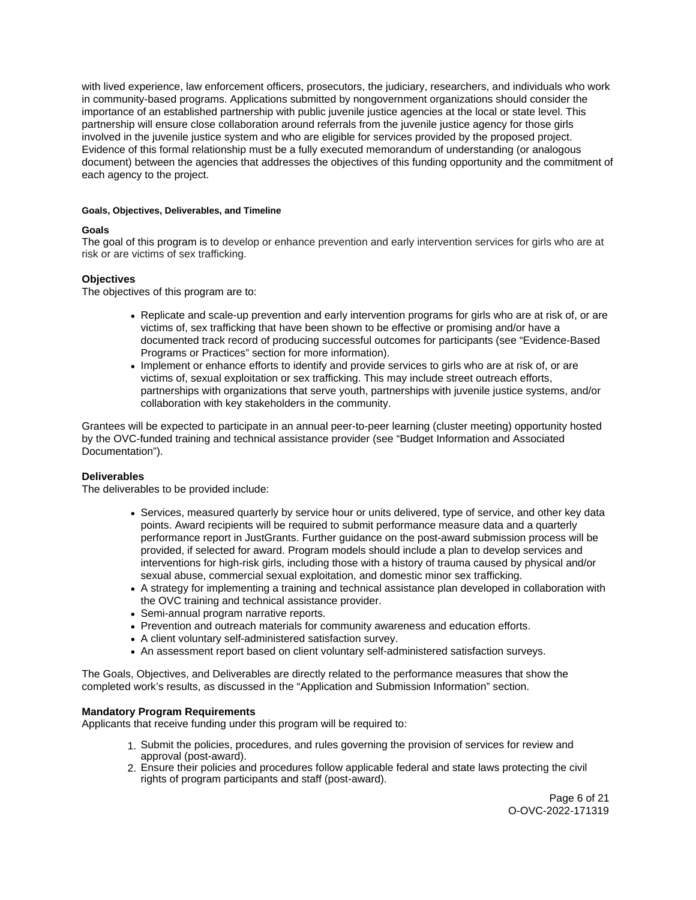<span id="page-5-0"></span>with lived experience, law enforcement officers, prosecutors, the judiciary, researchers, and individuals who work in community-based programs. Applications submitted by nongovernment organizations should consider the importance of an established partnership with public juvenile justice agencies at the local or state level. This partnership will ensure close collaboration around referrals from the juvenile justice agency for those girls involved in the juvenile justice system and who are eligible for services provided by the proposed project. Evidence of this formal relationship must be a fully executed memorandum of understanding (or analogous document) between the agencies that addresses the objectives of this funding opportunity and the commitment of each agency to the project.

# **Goals, Objectives, Deliverables, and Timeline**

# **Goals**

The goal of this program is to develop or enhance prevention and early intervention services for girls who are at risk or are victims of sex trafficking.

# **Objectives**

The objectives of this program are to:

- Replicate and scale-up prevention and early intervention programs for girls who are at risk of, or are victims of, sex trafficking that have been shown to be effective or promising and/or have a documented track record of producing successful outcomes for participants (see "Evidence-Based Programs or Practices" section for more information).
- Implement or enhance efforts to identify and provide services to girls who are at risk of, or are victims of, sexual exploitation or sex trafficking. This may include street outreach efforts, partnerships with organizations that serve youth, partnerships with juvenile justice systems, and/or collaboration with key stakeholders in the community.

Grantees will be expected to participate in an annual peer-to-peer learning (cluster meeting) opportunity hosted by the OVC-funded training and technical assistance provider (see "Budget Information and Associated Documentation").

# **Deliverables**

The deliverables to be provided include:

- Services, measured quarterly by service hour or units delivered, type of service, and other key data points. Award recipients will be required to submit performance measure data and a quarterly performance report in JustGrants. Further guidance on the post-award submission process will be provided, if selected for award. Program models should include a plan to develop services and interventions for high-risk girls, including those with a history of trauma caused by physical and/or sexual abuse, commercial sexual exploitation, and domestic minor sex trafficking.
- A strategy for implementing a training and technical assistance plan developed in collaboration with the OVC training and technical assistance provider.
- Semi-annual program narrative reports.
- Prevention and outreach materials for community awareness and education efforts.
- A client voluntary self-administered satisfaction survey.
- An assessment report based on client voluntary self-administered satisfaction surveys.

The Goals, Objectives, and Deliverables are directly related to the performance measures that show the completed work's results, as discussed in the "Application and Submission Information" section.

# **Mandatory Program Requirements**

Applicants that receive funding under this program will be required to:

- 1. Submit the policies, procedures, and rules governing the provision of services for review and approval (post-award).
- 2. Ensure their policies and procedures follow applicable federal and state laws protecting the civil rights of program participants and staff (post-award).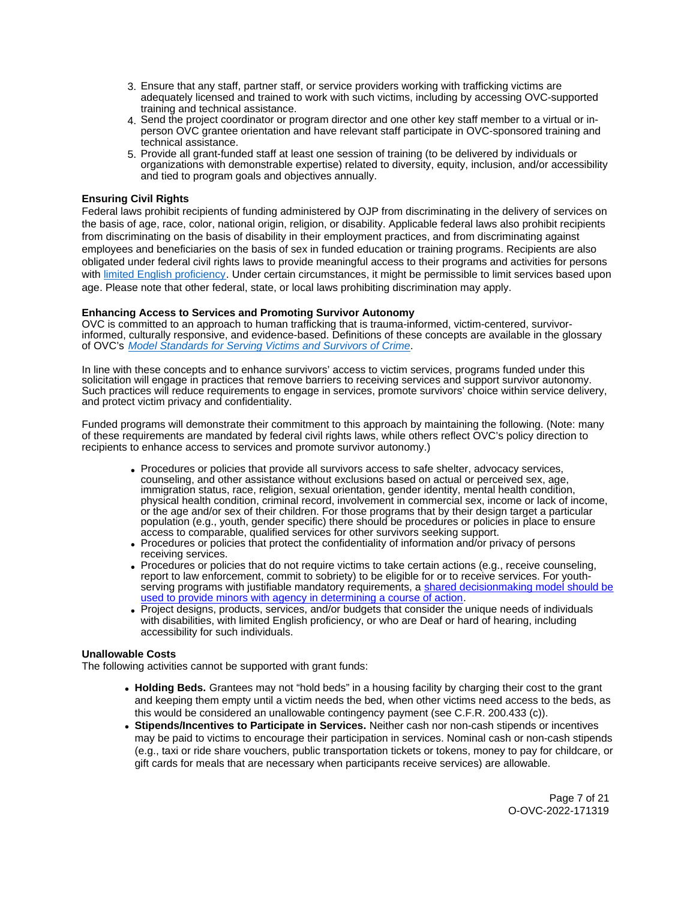- 3. Ensure that any staff, partner staff, or service providers working with trafficking victims are adequately licensed and trained to work with such victims, including by accessing OVC-supported training and technical assistance.
- 4. Send the project coordinator or program director and one other key staff member to a virtual or inperson OVC grantee orientation and have relevant staff participate in OVC-sponsored training and technical assistance.
- 5. Provide all grant-funded staff at least one session of training (to be delivered by individuals or organizations with demonstrable expertise) related to diversity, equity, inclusion, and/or accessibility and tied to program goals and objectives annually.

# **Ensuring Civil Rights**

Federal laws prohibit recipients of funding administered by OJP from discriminating in the delivery of services on the basis of age, race, color, national origin, religion, or disability. Applicable federal laws also prohibit recipients from discriminating on the basis of disability in their employment practices, and from discriminating against employees and beneficiaries on the basis of sex in funded education or training programs. Recipients are also obligated under federal civil rights laws to provide meaningful access to their programs and activities for persons with [limited English proficiency.](https://www.ojp.gov/program/civil-rights/limited-english-proficient-lep) Under certain circumstances, it might be permissible to limit services based upon age. Please note that other federal, state, or local laws prohibiting discrimination may apply.

# **Enhancing Access to Services and Promoting Survivor Autonomy**

OVC is committed to an approach to human trafficking that is trauma-informed, victim-centered, survivorinformed, culturally responsive, and evidence-based. Definitions of these concepts are available in the glossary of OVC's [Model Standards for Serving Victims and Survivors of Crime](https://ovc.ojp.gov/sites/g/files/xyckuh226/files/model-standards/6/glossary.html).

In line with these concepts and to enhance survivors' access to victim services, programs funded under this solicitation will engage in practices that remove barriers to receiving services and support survivor autonomy. Such practices will reduce requirements to engage in services, promote survivors' choice within service delivery, and protect victim privacy and confidentiality.

Funded programs will demonstrate their commitment to this approach by maintaining the following. (Note: many of these requirements are mandated by federal civil rights laws, while others reflect OVC's policy direction to recipients to enhance access to services and promote survivor autonomy.)

- Procedures or policies that provide all survivors access to safe shelter, advocacy services, counseling, and other assistance without exclusions based on actual or perceived sex, age, immigration status, race, religion, sexual orientation, gender identity, mental health condition, physical health condition, criminal record, involvement in commercial sex, income or lack of income, or the age and/or sex of their children. For those programs that by their design target a particular population (e.g., youth, gender specific) there should be procedures or policies in place to ensure access to comparable, qualified services for other survivors seeking support.
- Procedures or policies that protect the confidentiality of information and/or privacy of persons receiving services.
- Procedures or policies that do not require victims to take certain actions (e.g., receive counseling, report to law enforcement, commit to sobriety) to be eligible for or to receive services. For youthserving programs with justifiable mandatory requirements, a shared decisionmaking model should be [used to provide minors with agency in determining a course of action.](https://www.acf.hhs.gov/sites/default/files/documents/fysb/acf_issuebrief_htprevention_10202020_final_508.pdf)
- Project designs, products, services, and/or budgets that consider the unique needs of individuals with disabilities, with limited English proficiency, or who are Deaf or hard of hearing, including accessibility for such individuals.

# **Unallowable Costs**

The following activities cannot be supported with grant funds:

- **Holding Beds.** Grantees may not "hold beds" in a housing facility by charging their cost to the grant and keeping them empty until a victim needs the bed, when other victims need access to the beds, as this would be considered an unallowable contingency payment (see C.F.R. 200.433 (c)).
- **Stipends/Incentives to Participate in Services.** Neither cash nor non-cash stipends or incentives may be paid to victims to encourage their participation in services. Nominal cash or non-cash stipends (e.g., taxi or ride share vouchers, public transportation tickets or tokens, money to pay for childcare, or gift cards for meals that are necessary when participants receive services) are allowable.

Page 7 of 21 O-OVC-2022-171319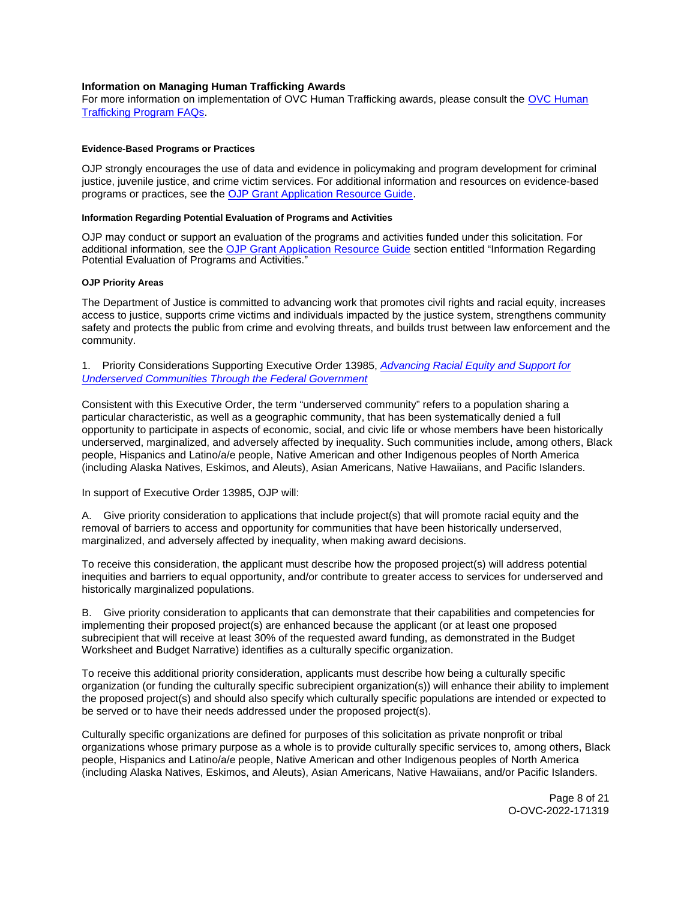# <span id="page-7-0"></span>**Information on Managing Human Trafficking Awards**

For more information on implementation of OVC Human Trafficking awards, please consult the [OVC Human](https://ovc.ojp.gov/program/human-trafficking/ovc-human-trafficking-program-faqs)  [Trafficking Program FAQs.](https://ovc.ojp.gov/program/human-trafficking/ovc-human-trafficking-program-faqs)

## **Evidence-Based Programs or Practices**

OJP strongly encourages the use of data and evidence in policymaking and program development for criminal justice, juvenile justice, and crime victim services. For additional information and resources on evidence-based programs or practices, see the [OJP Grant Application Resource Guide.](https://www.ojp.gov/funding/apply/ojp-grant-application-resource-guide#evidence-based)

## **Information Regarding Potential Evaluation of Programs and Activities**

OJP may conduct or support an evaluation of the programs and activities funded under this solicitation. For additional information, see the [OJP Grant Application Resource Guide](https://www.ojp.gov/funding/apply/ojp-grant-application-resource-guide#potential-evaluation) section entitled "Information Regarding Potential Evaluation of Programs and Activities."

## **OJP Priority Areas**

The Department of Justice is committed to advancing work that promotes civil rights and racial equity, increases access to justice, supports crime victims and individuals impacted by the justice system, strengthens community safety and protects the public from crime and evolving threats, and builds trust between law enforcement and the community.

1. Priority Considerations Supporting Executive Order 13985, Advancing Racial Equity and Support for [Underserved Communities Through the Federal Government](https://www.whitehouse.gov/briefing-room/presidential-actions/2021/01/20/executive-order-advancing-racial-equity-and-support-for-underserved-communities-through-the-federal-government/) 

Consistent with this Executive Order, the term "underserved community" refers to a population sharing a particular characteristic, as well as a geographic community, that has been systematically denied a full opportunity to participate in aspects of economic, social, and civic life or whose members have been historically underserved, marginalized, and adversely affected by inequality. Such communities include, among others, Black people, Hispanics and Latino/a/e people, Native American and other Indigenous peoples of North America (including Alaska Natives, Eskimos, and Aleuts), Asian Americans, Native Hawaiians, and Pacific Islanders.

In support of Executive Order 13985, OJP will:

A. Give priority consideration to applications that include project(s) that will promote racial equity and the removal of barriers to access and opportunity for communities that have been historically underserved, marginalized, and adversely affected by inequality, when making award decisions.

To receive this consideration, the applicant must describe how the proposed project(s) will address potential inequities and barriers to equal opportunity, and/or contribute to greater access to services for underserved and historically marginalized populations.

B. Give priority consideration to applicants that can demonstrate that their capabilities and competencies for implementing their proposed project(s) are enhanced because the applicant (or at least one proposed subrecipient that will receive at least 30% of the requested award funding, as demonstrated in the Budget Worksheet and Budget Narrative) identifies as a culturally specific organization.

To receive this additional priority consideration, applicants must describe how being a culturally specific organization (or funding the culturally specific subrecipient organization(s)) will enhance their ability to implement the proposed project(s) and should also specify which culturally specific populations are intended or expected to be served or to have their needs addressed under the proposed project(s).

Culturally specific organizations are defined for purposes of this solicitation as private nonprofit or tribal organizations whose primary purpose as a whole is to provide culturally specific services to, among others, Black people, Hispanics and Latino/a/e people, Native American and other Indigenous peoples of North America (including Alaska Natives, Eskimos, and Aleuts), Asian Americans, Native Hawaiians, and/or Pacific Islanders.

> Page 8 of 21 O-OVC-2022-171319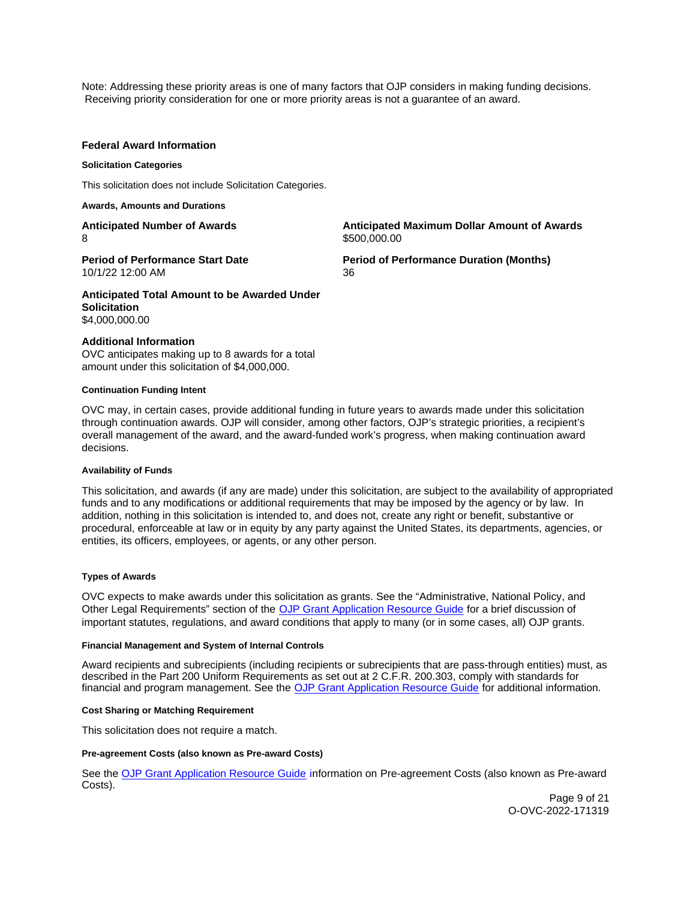<span id="page-8-0"></span>Note: Addressing these priority areas is one of many factors that OJP considers in making funding decisions. Receiving priority consideration for one or more priority areas is not a guarantee of an award.

## **Federal Award Information**

#### **Solicitation Categories**

This solicitation does not include Solicitation Categories.

**Awards, Amounts and Durations** 

**Anticipated Number of Awards**  8

**Period of Performance Start Date** 

**Anticipated Maximum Dollar Amount of Awards**  \$[500,000.00](https://500,000.00) 

**Period of Performance Duration (Months)**  36

**Anticipated Total Amount to be Awarded Under Solicitation**  [\\$4,000,000.00](https://4,000,000.00) 

#### **Additional Information**

10/1/22 12:00 AM

OVC anticipates making up to 8 awards for a total amount under this solicitation of \$4,000,000.

#### **Continuation Funding Intent**

OVC may, in certain cases, provide additional funding in future years to awards made under this solicitation through continuation awards. OJP will consider, among other factors, OJP's strategic priorities, a recipient's overall management of the award, and the award-funded work's progress, when making continuation award decisions.

#### **Availability of Funds**

This solicitation, and awards (if any are made) under this solicitation, are subject to the availability of appropriated funds and to any modifications or additional requirements that may be imposed by the agency or by law. In addition, nothing in this solicitation is intended to, and does not, create any right or benefit, substantive or procedural, enforceable at law or in equity by any party against the United States, its departments, agencies, or entities, its officers, employees, or agents, or any other person.

## **Types of Awards**

OVC expects to make awards under this solicitation as grants. See the "Administrative, National Policy, and Other Legal Requirements" section of the [OJP Grant Application Resource Guide](https://www.ojp.gov/funding/Apply/Resources/Grant-App-Resource-Guide.htm#otherLegalRequirements) for a brief discussion of important statutes, regulations, and award conditions that apply to many (or in some cases, all) OJP grants.

## **Financial Management and System of Internal Controls**

Award recipients and subrecipients (including recipients or subrecipients that are pass-through entities) must, as described in the Part 200 Uniform Requirements as set out at 2 C.F.R. 200.303, comply with standards for financial and program management. See the [OJP Grant Application Resource Guide](https://www.ojp.gov/funding/apply/ojp-grant-application-resource-guide#fm-internal-controls) for additional information.

#### **Cost Sharing or Matching Requirement**

This solicitation does not require a match.

#### **Pre-agreement Costs (also known as Pre-award Costs)**

See the [OJP Grant Application Resource Guide](https://www.ojp.gov/funding/apply/ojp-grant-application-resource-guide#pre-agreement-costs) information on Pre-agreement Costs (also known as Pre-award Costs).

> Page 9 of 21 O-OVC-2022-171319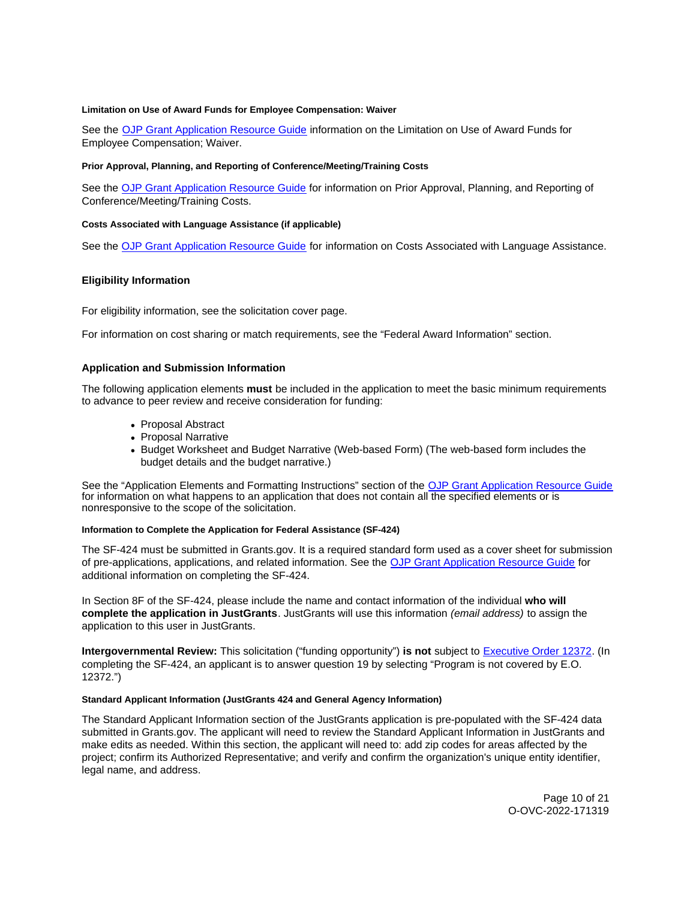#### <span id="page-9-0"></span>**Limitation on Use of Award Funds for Employee Compensation: Waiver**

See the [OJP Grant Application Resource Guide](https://www.ojp.gov/funding/apply/ojp-grant-application-resource-guide#limitation-use-award) information on the Limitation on Use of Award Funds for Employee Compensation; Waiver.

## **Prior Approval, Planning, and Reporting of Conference/Meeting/Training Costs**

See the [OJP Grant Application Resource Guide](https://www.ojp.gov/funding/apply/ojp-grant-application-resource-guide#prior-approval) for information on Prior Approval, Planning, and Reporting of Conference/Meeting/Training Costs.

## **Costs Associated with Language Assistance (if applicable)**

See the [OJP Grant Application Resource Guide](https://www.ojp.gov/funding/apply/ojp-grant-application-resource-guide#costs-associated) for information on Costs Associated with Language Assistance.

# **Eligibility Information**

For eligibility information, see the solicitation cover page.

For information on cost sharing or match requirements, see the "Federal Award Information" section.

# **Application and Submission Information**

The following application elements **must** be included in the application to meet the basic minimum requirements to advance to peer review and receive consideration for funding:

- Proposal Abstract
- Proposal Narrative
- Budget Worksheet and Budget Narrative (Web-based Form) (The web-based form includes the budget details and the budget narrative.)

See the "Application Elements and Formatting Instructions" section of the [OJP Grant Application Resource Guide](https://www.ojp.gov/funding/apply/ojp-grant-application-resource-guide#application-elements)  for information on what happens to an application that does not contain all the specified elements or is nonresponsive to the scope of the solicitation.

#### **Information to Complete the Application for Federal Assistance (SF-424)**

The SF-424 must be submitted in [Grants.gov](https://Grants.gov). It is a required standard form used as a cover sheet for submission of pre-applications, applications, and related information. See the [OJP Grant Application Resource Guide](https://www.ojp.gov/funding/Apply/Resources/Grant-App-Resource-Guide.htm#completeApplication) for additional information on completing the SF-424.

In Section 8F of the SF-424, please include the name and contact information of the individual **who will complete the application in JustGrants**. JustGrants will use this information (email address) to assign the application to this user in JustGrants.

**Intergovernmental Review:** This solicitation ("funding opportunity") **is not** subject to [Executive Order 12372.](https://www.archives.gov/federal-register/codification/executive-order/12372.html) (In completing the SF-424, an applicant is to answer question 19 by selecting "Program is not covered by E.O. 12372.")

## **Standard Applicant Information (JustGrants 424 and General Agency Information)**

The Standard Applicant Information section of the JustGrants application is pre-populated with the SF-424 data submitted in [Grants.gov.](https://Grants.gov) The applicant will need to review the Standard Applicant Information in JustGrants and make edits as needed. Within this section, the applicant will need to: add zip codes for areas affected by the project; confirm its Authorized Representative; and verify and confirm the organization's unique entity identifier, legal name, and address.

> Page 10 of 21 O-OVC-2022-171319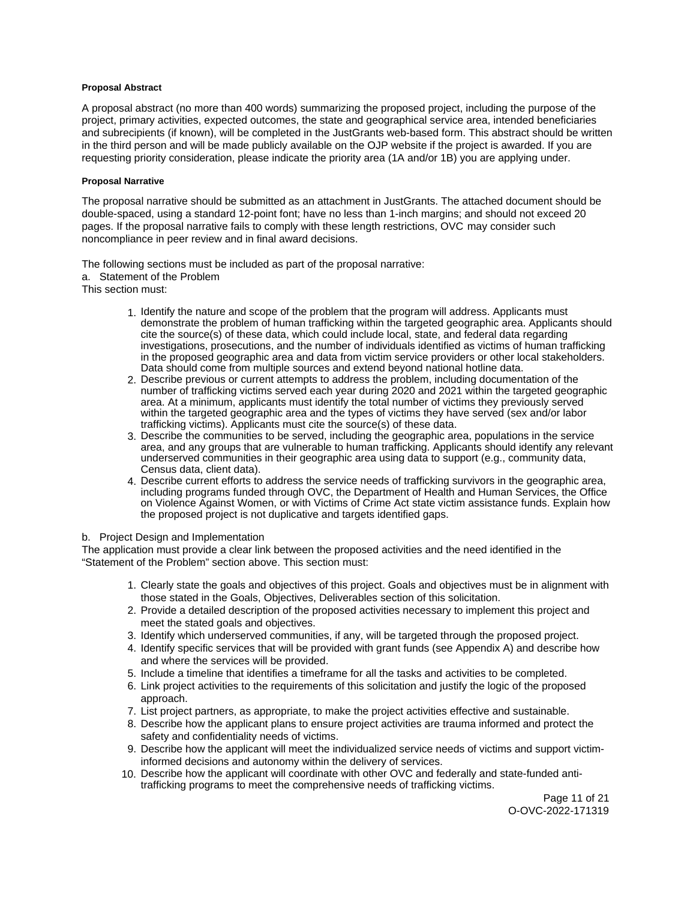## <span id="page-10-0"></span>**Proposal Abstract**

A proposal abstract (no more than 400 words) summarizing the proposed project, including the purpose of the project, primary activities, expected outcomes, the state and geographical service area, intended beneficiaries and subrecipients (if known), will be completed in the JustGrants web-based form. This abstract should be written in the third person and will be made publicly available on the OJP website if the project is awarded. If you are requesting priority consideration, please indicate the priority area (1A and/or 1B) you are applying under.

# **Proposal Narrative**

The proposal narrative should be submitted as an attachment in JustGrants. The attached document should be double-spaced, using a standard 12-point font; have no less than 1-inch margins; and should not exceed 20 pages. If the proposal narrative fails to comply with these length restrictions, OVC may consider such noncompliance in peer review and in final award decisions.

The following sections must be included as part of the proposal narrative: a. Statement of the Problem This section must:

- 1. Identify the nature and scope of the problem that the program will address. Applicants must demonstrate the problem of human trafficking within the targeted geographic area. Applicants should cite the source(s) of these data, which could include local, state, and federal data regarding investigations, prosecutions, and the number of individuals identified as victims of human trafficking in the proposed geographic area and data from victim service providers or other local stakeholders. Data should come from multiple sources and extend beyond national hotline data.
- 2. Describe previous or current attempts to address the problem, including documentation of the number of trafficking victims served each year during 2020 and 2021 within the targeted geographic area. At a minimum, applicants must identify the total number of victims they previously served within the targeted geographic area and the types of victims they have served (sex and/or labor trafficking victims). Applicants must cite the source(s) of these data.
- 3. Describe the communities to be served, including the geographic area, populations in the service area, and any groups that are vulnerable to human trafficking. Applicants should identify any relevant underserved communities in their geographic area using data to support (e.g., community data, Census data, client data).
- 4. Describe current efforts to address the service needs of trafficking survivors in the geographic area, including programs funded through OVC, the Department of Health and Human Services, the Office on Violence Against Women, or with Victims of Crime Act state victim assistance funds. Explain how the proposed project is not duplicative and targets identified gaps.

# b. Project Design and Implementation

The application must provide a clear link between the proposed activities and the need identified in the "Statement of the Problem" section above. This section must:

- 1. Clearly state the goals and objectives of this project. Goals and objectives must be in alignment with those stated in the Goals, Objectives, Deliverables section of this solicitation.
- 2. Provide a detailed description of the proposed activities necessary to implement this project and meet the stated goals and objectives.
- 3. Identify which underserved communities, if any, will be targeted through the proposed project.
- 4. Identify specific services that will be provided with grant funds (see Appendix A) and describe how and where the services will be provided.
- 5. Include a timeline that identifies a timeframe for all the tasks and activities to be completed.
- 6. Link project activities to the requirements of this solicitation and justify the logic of the proposed approach.
- 7. List project partners, as appropriate, to make the project activities effective and sustainable.
- 8. Describe how the applicant plans to ensure project activities are trauma informed and protect the safety and confidentiality needs of victims.
- 9. Describe how the applicant will meet the individualized service needs of victims and support victiminformed decisions and autonomy within the delivery of services.
- 10. Describe how the applicant will coordinate with other OVC and federally and state-funded antitrafficking programs to meet the comprehensive needs of trafficking victims.

Page 11 of 21 O-OVC-2022-171319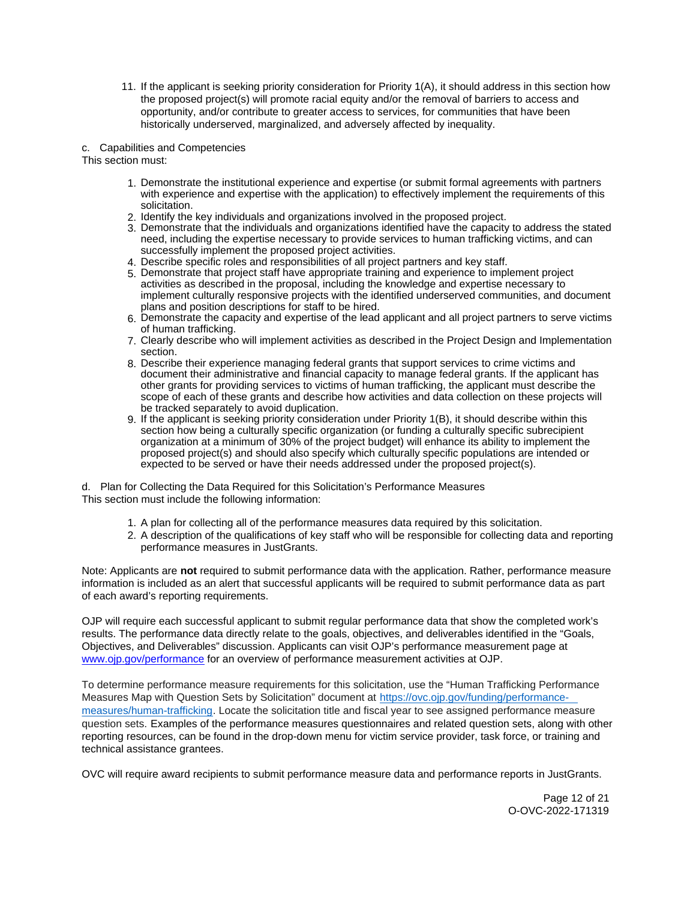11. If the applicant is seeking priority consideration for Priority 1(A), it should address in this section how the proposed project(s) will promote racial equity and/or the removal of barriers to access and opportunity, and/or contribute to greater access to services, for communities that have been historically underserved, marginalized, and adversely affected by inequality.

# c. Capabilities and Competencies

This section must:

- 1. Demonstrate the institutional experience and expertise (or submit formal agreements with partners with experience and expertise with the application) to effectively implement the requirements of this solicitation.
- 2. Identify the key individuals and organizations involved in the proposed project.
- 3. Demonstrate that the individuals and organizations identified have the capacity to address the stated need, including the expertise necessary to provide services to human trafficking victims, and can successfully implement the proposed project activities.
- 4. Describe specific roles and responsibilities of all project partners and key staff.
- 5. Demonstrate that project staff have appropriate training and experience to implement project activities as described in the proposal, including the knowledge and expertise necessary to implement culturally responsive projects with the identified underserved communities, and document plans and position descriptions for staff to be hired.
- 6. Demonstrate the capacity and expertise of the lead applicant and all project partners to serve victims of human trafficking.
- 7. Clearly describe who will implement activities as described in the Project Design and Implementation section.
- 8. Describe their experience managing federal grants that support services to crime victims and document their administrative and financial capacity to manage federal grants. If the applicant has other grants for providing services to victims of human trafficking, the applicant must describe the scope of each of these grants and describe how activities and data collection on these projects will be tracked separately to avoid duplication.
- 9. If the applicant is seeking priority consideration under Priority 1(B), it should describe within this section how being a culturally specific organization (or funding a culturally specific subrecipient organization at a minimum of 30% of the project budget) will enhance its ability to implement the proposed project(s) and should also specify which culturally specific populations are intended or expected to be served or have their needs addressed under the proposed project(s).

 d. Plan for Collecting the Data Required for this Solicitation's Performance Measures This section must include the following information:

- 1. A plan for collecting all of the performance measures data required by this solicitation.
- 2. A description of the qualifications of key staff who will be responsible for collecting data and reporting performance measures in JustGrants.

Note: Applicants are **not** required to submit performance data with the application. Rather, performance measure information is included as an alert that successful applicants will be required to submit performance data as part of each award's reporting requirements.

OJP will require each successful applicant to submit regular performance data that show the completed work's results. The performance data directly relate to the goals, objectives, and deliverables identified in the "Goals, Objectives, and Deliverables" discussion. Applicants can visit OJP's performance measurement page at [www.ojp.gov/performance](https://www.ojp.gov/performance) for an overview of performance measurement activities at OJP.

To determine performance measure requirements for this solicitation, use the "Human Trafficking Performance Measures Map with Question Sets by Solicitation" document at [https://ovc.ojp.gov/funding/performance](https://ovc.ojp.gov/funding/performance-measures/human-trafficking)[measures/human-trafficking.](https://ovc.ojp.gov/funding/performance-measures/human-trafficking) Locate the solicitation title and fiscal year to see assigned performance measure question sets. Examples of the performance measures questionnaires and related question sets, along with other reporting resources, can be found in the drop-down menu for victim service provider, task force, or training and technical assistance grantees.

OVC will require award recipients to submit performance measure data and performance reports in JustGrants.

Page 12 of 21 O-OVC-2022-171319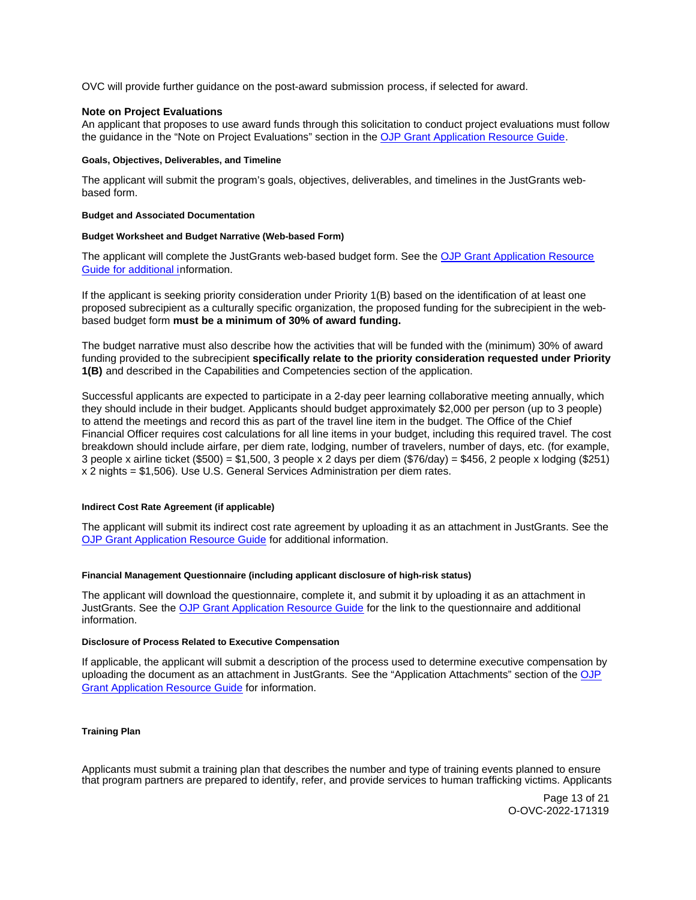<span id="page-12-0"></span>OVC will provide further guidance on the post-award submission process, if selected for award.

## **Note on Project Evaluations**

An applicant that proposes to use award funds through this solicitation to conduct project evaluations must follow the guidance in the "Note on Project Evaluations" section in the [OJP Grant Application Resource Guide.](https://www.ojp.gov/funding/Apply/Resources/Grant-App-Resource-Guide.htm#projectEvaluation)

#### **Goals, Objectives, Deliverables, and Timeline**

The applicant will submit the program's goals, objectives, deliverables, and timelines in the JustGrants webbased form.

#### **Budget and Associated Documentation**

#### **Budget Worksheet and Budget Narrative (Web-based Form)**

The applicant will complete the JustGrants web-based budget form. See the OJP Grant Application Resource [Guide](https://www.ojp.gov/funding/apply/ojp-grant-application-resource-guide#budgetInfo) for additional information.

If the applicant is seeking priority consideration under Priority 1(B) based on the identification of at least one proposed subrecipient as a culturally specific organization, the proposed funding for the subrecipient in the webbased budget form **must be a minimum of 30% of award funding.** 

The budget narrative must also describe how the activities that will be funded with the (minimum) 30% of award funding provided to the subrecipient **specifically relate to the priority consideration requested under Priority 1(B)** and described in the Capabilities and Competencies section of the application.

Successful applicants are expected to participate in a 2-day peer learning collaborative meeting annually, which they should include in their budget. Applicants should budget approximately \$2,000 per person (up to 3 people) to attend the meetings and record this as part of the travel line item in the budget. The Office of the Chief Financial Officer requires cost calculations for all line items in your budget, including this required travel. The cost breakdown should include airfare, per diem rate, lodging, number of travelers, number of days, etc. (for example, 3 people x airline ticket (\$500) = \$1,500, 3 people x 2 days per diem (\$76/day) = \$456, 2 people x lodging (\$251) x 2 nights = \$1,506). Use U.S. General Services Administration per diem rates.

## **Indirect Cost Rate Agreement (if applicable)**

The applicant will submit its indirect cost rate agreement by uploading it as an attachment in JustGrants. See the [OJP Grant Application Resource Guide](https://www.ojp.gov/funding/apply/ojp-grant-application-resource-guide#indirect-cost) for additional information.

## **Financial Management Questionnaire (including applicant disclosure of high-risk status)**

The applicant will download the questionnaire, complete it, and submit it by uploading it as an attachment in JustGrants. See the [OJP Grant Application Resource Guide](https://www.ojp.gov/funding/apply/ojp-grant-application-resource-guide#fm-internal-controls-questionnaire) for the link to the questionnaire and additional information.

#### **Disclosure of Process Related to Executive Compensation**

If applicable, the applicant will submit a description of the process used to determine executive compensation by uploading the document as an attachment in JustGrants. See the "Application Attachments" section of the [OJP](https://www.ojp.gov/funding/apply/ojp-grant-application-resource-guide#disclosure-process-executive)  [Grant Application Resource Guide](https://www.ojp.gov/funding/apply/ojp-grant-application-resource-guide#disclosure-process-executive) for information.

## **Training Plan**

Applicants must submit a training plan that describes the number and type of training events planned to ensure that program partners are prepared to identify, refer, and provide services to human trafficking victims. Applicants

> Page 13 of 21 O-OVC-2022-171319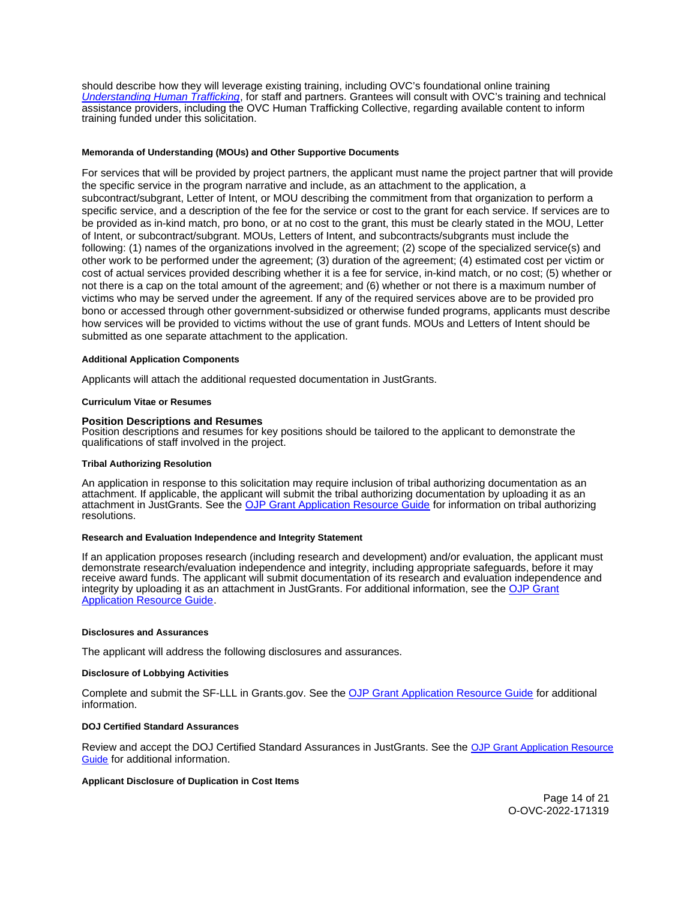<span id="page-13-0"></span>should describe how they will leverage existing training, including OVC's foundational online training [Understanding Human Trafficking](https://www.ovcttac.gov/UnderstandingHumanTrafficking/index.cfm?nm=wbt&ns=ot&nt=ht), for staff and partners. Grantees will consult with OVC's training and technical assistance providers, including the OVC Human Trafficking Collective, regarding available content to inform training funded under this solicitation.

#### **Memoranda of Understanding (MOUs) and Other Supportive Documents**

For services that will be provided by project partners, the applicant must name the project partner that will provide the specific service in the program narrative and include, as an attachment to the application, a subcontract/subgrant, Letter of Intent, or MOU describing the commitment from that organization to perform a specific service, and a description of the fee for the service or cost to the grant for each service. If services are to be provided as in-kind match, pro bono, or at no cost to the grant, this must be clearly stated in the MOU, Letter of Intent, or subcontract/subgrant. MOUs, Letters of Intent, and subcontracts/subgrants must include the following: (1) names of the organizations involved in the agreement; (2) scope of the specialized service(s) and other work to be performed under the agreement; (3) duration of the agreement; (4) estimated cost per victim or cost of actual services provided describing whether it is a fee for service, in-kind match, or no cost; (5) whether or not there is a cap on the total amount of the agreement; and (6) whether or not there is a maximum number of victims who may be served under the agreement. If any of the required services above are to be provided pro bono or accessed through other government-subsidized or otherwise funded programs, applicants must describe how services will be provided to victims without the use of grant funds. MOUs and Letters of Intent should be submitted as one separate attachment to the application.

#### **Additional Application Components**

Applicants will attach the additional requested documentation in JustGrants.

#### **Curriculum Vitae or Resumes**

#### **Position Descriptions and Resumes**

Position descriptions and resumes for key positions should be tailored to the applicant to demonstrate the qualifications of staff involved in the project.

#### **Tribal Authorizing Resolution**

An application in response to this solicitation may require inclusion of tribal authorizing documentation as an attachment. If applicable, the applicant will submit the tribal authorizing documentation by uploading it as an attachment in JustGrants. See the [OJP Grant Application Resource Guide](https://www.ojp.gov/funding/apply/ojp-grant-application-resource-guide#tribal-authorizing-resolution) for information on tribal authorizing resolutions.

## **Research and Evaluation Independence and Integrity Statement**

If an application proposes research (including research and development) and/or evaluation, the applicant must demonstrate research/evaluation independence and integrity, including appropriate safeguards, before it may receive award funds. The applicant will submit documentation of its research and evaluation independence and integrity by uploading it as an attachment in JustGrants. For additional information, see the [OJP Grant](https://www.ojp.gov/funding/apply/ojp-grant-application-resource-guide#research-evaluation)  [Application Resource Guide.](https://www.ojp.gov/funding/apply/ojp-grant-application-resource-guide#research-evaluation)

#### **Disclosures and Assurances**

The applicant will address the following disclosures and assurances.

#### **Disclosure of Lobbying Activities**

Complete and submit the SF-LLL in [Grants.gov.](https://Grants.gov) See the [OJP Grant Application Resource Guide](https://www.ojp.gov/funding/apply/ojp-grant-application-resource-guide#disclosure-lobby) for additional information.

#### **DOJ Certified Standard Assurances**

Review and accept the DOJ Certified Standard Assurances in JustGrants. See the [OJP Grant Application Resource](https://www.ojp.gov/funding/apply/ojp-grant-application-resource-guide#administrative)  [Guide](https://www.ojp.gov/funding/apply/ojp-grant-application-resource-guide#administrative) for additional information.

#### **Applicant Disclosure of Duplication in Cost Items**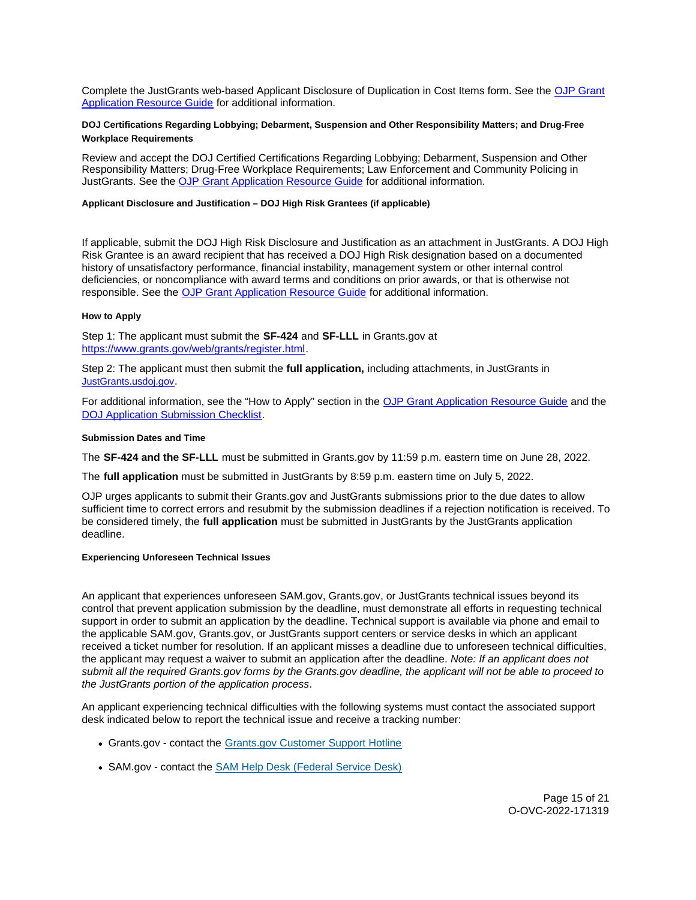<span id="page-14-0"></span>Complete the JustGrants web-based Applicant Disclosure of Duplication in Cost Items form. See the [OJP Grant](https://www.ojp.gov/funding/apply/ojp-grant-application-resource-guide#applicant-disclosure-pending-applications)  [Application Resource Guide](https://www.ojp.gov/funding/apply/ojp-grant-application-resource-guide#applicant-disclosure-pending-applications) for additional information.

# **DOJ Certifications Regarding Lobbying; Debarment, Suspension and Other Responsibility Matters; and Drug-Free Workplace Requirements**

Review and accept the DOJ Certified Certifications Regarding Lobbying; Debarment, Suspension and Other Responsibility Matters; Drug-Free Workplace Requirements; Law Enforcement and Community Policing in JustGrants. See the [OJP Grant Application Resource Guide](https://www.ojp.gov/funding/apply/ojp-grant-application-resource-guide#administrative) for additional information.

## **Applicant Disclosure and Justification – DOJ High Risk Grantees (if applicable)**

If applicable, submit the DOJ High Risk Disclosure and Justification as an attachment in JustGrants. A DOJ High Risk Grantee is an award recipient that has received a DOJ High Risk designation based on a documented history of unsatisfactory performance, financial instability, management system or other internal control deficiencies, or noncompliance with award terms and conditions on prior awards, or that is otherwise not responsible. See the [OJP Grant Application Resource Guide](https://www.ojp.gov/funding/apply/ojp-grant-application-resource-guide#applicant-disclosure-justification) for additional information.

## **How to Apply**

Step 1: The applicant must submit the **SF-424** and **SF-LLL** in [Grants.gov](https://Grants.gov) at [https://www.grants.gov/web/grants/register.html.](https://www.grants.gov/web/grants/register.html)

Step 2: The applicant must then submit the **full application,** including attachments, in JustGrants in [JustGrants.usdoj.gov.](https://justicegrants.usdoj.gov/)

For additional information, see the "How to Apply" section in the [OJP Grant Application Resource Guide](https://www.ojp.gov/funding/apply/ojp-grant-application-resource-guide#apply) and the [DOJ Application Submission Checklist.](https://justicegrants.usdoj.gov/sites/g/files/xyckuh296/files/media/document/appln-submission-checklist.pdf)

## **Submission Dates and Time**

The **SF-424 and the SF-LLL** must be submitted in [Grants.gov](https://Grants.gov) by 11:59 p.m. eastern time on June 28, 2022.

The **full application** must be submitted in JustGrants by 8:59 p.m. eastern time on July 5, 2022.

OJP urges applicants to submit their [Grants.gov](https://Grants.gov) and JustGrants submissions prior to the due dates to allow sufficient time to correct errors and resubmit by the submission deadlines if a rejection notification is received. To be considered timely, the **full application** must be submitted in JustGrants by the JustGrants application deadline.

#### **Experiencing Unforeseen Technical Issues**

An applicant that experiences unforeseen SAM.gov, [Grants.gov,](https://Grants.gov) or JustGrants technical issues beyond its control that prevent application submission by the deadline, must demonstrate all efforts in requesting technical support in order to submit an application by the deadline. Technical support is available via phone and email to the applicable SAM.gov, [Grants.gov,](https://Grants.gov) or JustGrants support centers or service desks in which an applicant received a ticket number for resolution. If an applicant misses a deadline due to unforeseen technical difficulties, the applicant may request a waiver to submit an application after the deadline. Note: If an applicant does not submit all the required [Grants.gov](https://Grants.gov) forms by the [Grants.gov](https://Grants.gov) deadline, the applicant will not be able to proceed to the JustGrants portion of the application process.

An applicant experiencing technical difficulties with the following systems must contact the associated support desk indicated below to report the technical issue and receive a tracking number:

- [Grants.gov](https://Grants.gov)  contact the [Grants.gov Customer Support Hotline](https://www.grants.gov/web/grants/support.html)
- SAM.gov contact the **SAM Help Desk (Federal Service Desk)**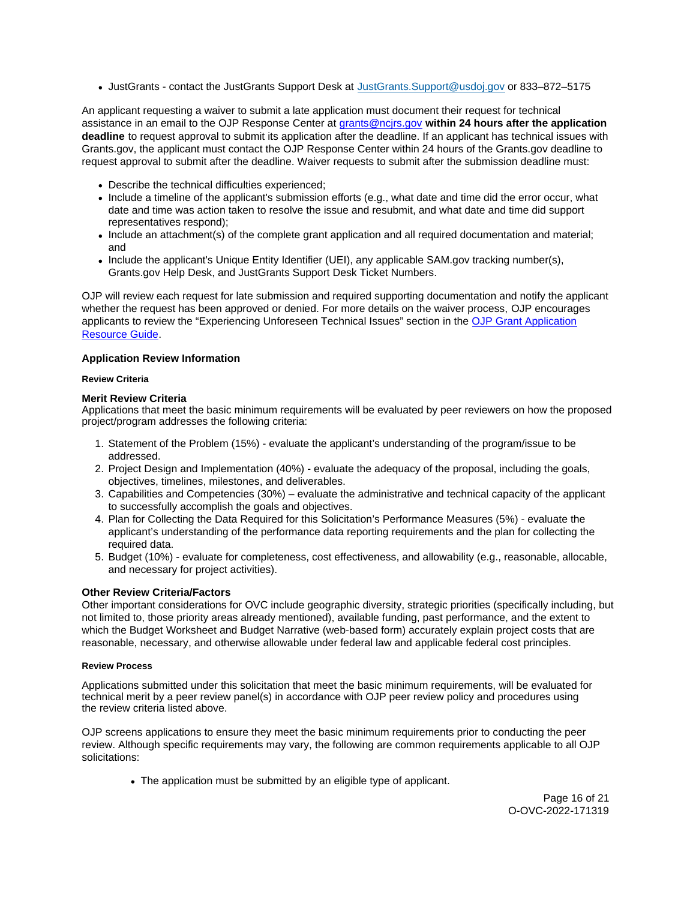<span id="page-15-0"></span>JustGrants - contact the JustGrants Support Desk at [JustGrants.Support@usdoj.gov](mailto:JustGrants.Support@usdoj.gov) or 833–872–5175

An applicant requesting a waiver to submit a late application must document their request for technical assistance in an email to the OJP Response Center at [grants@ncjrs.gov](file:///C:/Users/local_Yehj/INetCache/Content.Outlook/20U4XBR7/grants@ncjrs.gov) **within 24 hours after the application deadline** to request approval to submit its application after the deadline. If an applicant has technical issues with [Grants.gov,](https://Grants.gov) the applicant must contact the OJP Response Center within 24 hours of the [Grants.gov](https://Grants.gov) deadline to request approval to submit after the deadline. Waiver requests to submit after the submission deadline must:

- Describe the technical difficulties experienced;
- Include a timeline of the applicant's submission efforts (e.g., what date and time did the error occur, what date and time was action taken to resolve the issue and resubmit, and what date and time did support representatives respond);
- Include an attachment(s) of the complete grant application and all required documentation and material; and
- Include the applicant's Unique Entity Identifier (UEI), any applicable SAM.gov tracking number(s), [Grants.gov](https://Grants.gov) Help Desk, and JustGrants Support Desk Ticket Numbers.

OJP will review each request for late submission and required supporting documentation and notify the applicant whether the request has been approved or denied. For more details on the waiver process, OJP encourages applicants to review the "Experiencing Unforeseen Technical Issues" section in the [OJP Grant Application](https://www.ojp.gov/funding/apply/ojp-grant-application-resource-guide#experiencing-unforeseen-technical-issues)  [Resource Guide.](https://www.ojp.gov/funding/apply/ojp-grant-application-resource-guide#experiencing-unforeseen-technical-issues)

# **Application Review Information**

# **Review Criteria**

# **Merit Review Criteria**

Applications that meet the basic minimum requirements will be evaluated by peer reviewers on how the proposed project/program addresses the following criteria:

- 1. Statement of the Problem (15%) evaluate the applicant's understanding of the program/issue to be addressed.
- 2. Project Design and Implementation (40%) evaluate the adequacy of the proposal, including the goals, objectives, timelines, milestones, and deliverables.
- 3. Capabilities and Competencies (30%) evaluate the administrative and technical capacity of the applicant to successfully accomplish the goals and objectives.
- 4. Plan for Collecting the Data Required for this Solicitation's Performance Measures (5%) evaluate the applicant's understanding of the performance data reporting requirements and the plan for collecting the required data.
- 5. Budget (10%) evaluate for completeness, cost effectiveness, and allowability (e.g., reasonable, allocable, and necessary for project activities).

# **Other Review Criteria/Factors**

Other important considerations for OVC include geographic diversity, strategic priorities (specifically including, but not limited to, those priority areas already mentioned), available funding, past performance, and the extent to which the Budget Worksheet and Budget Narrative (web-based form) accurately explain project costs that are reasonable, necessary, and otherwise allowable under federal law and applicable federal cost principles.

# **Review Process**

Applications submitted under this solicitation that meet the basic minimum requirements, will be evaluated for technical merit by a peer review panel(s) in accordance with OJP peer review policy and procedures using the review criteria listed above.

OJP screens applications to ensure they meet the basic minimum requirements prior to conducting the peer review. Although specific requirements may vary, the following are common requirements applicable to all OJP solicitations:

• The application must be submitted by an eligible type of applicant.

Page 16 of 21 O-OVC-2022-171319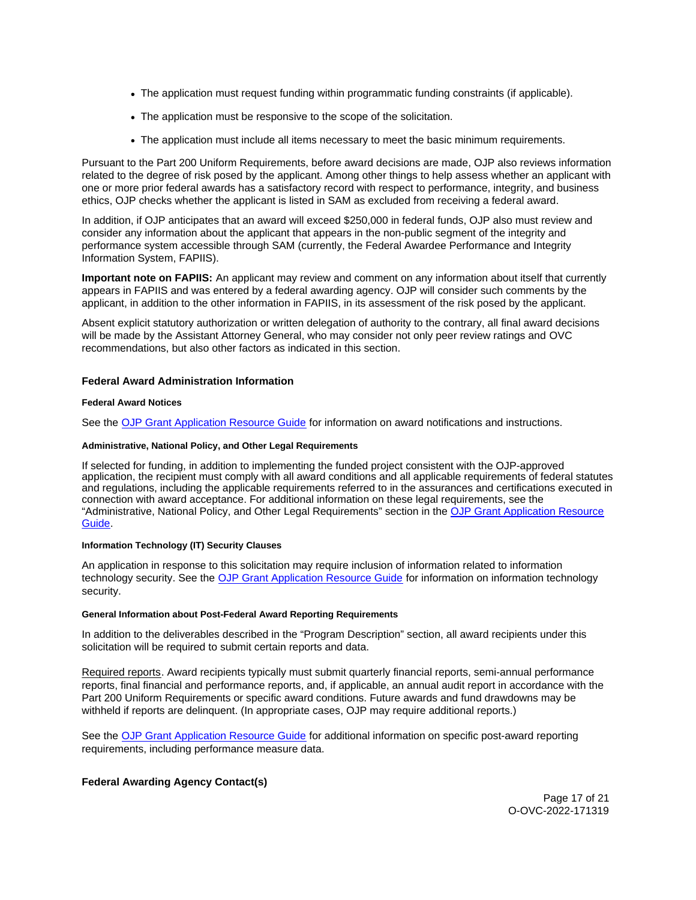- <span id="page-16-0"></span>The application must request funding within programmatic funding constraints (if applicable).
- The application must be responsive to the scope of the solicitation.
- The application must include all items necessary to meet the basic minimum requirements.

Pursuant to the Part 200 Uniform Requirements, before award decisions are made, OJP also reviews information related to the degree of risk posed by the applicant. Among other things to help assess whether an applicant with one or more prior federal awards has a satisfactory record with respect to performance, integrity, and business ethics, OJP checks whether the applicant is listed in SAM as excluded from receiving a federal award.

In addition, if OJP anticipates that an award will exceed \$250,000 in federal funds, OJP also must review and consider any information about the applicant that appears in the non-public segment of the integrity and performance system accessible through SAM (currently, the Federal Awardee Performance and Integrity Information System, FAPIIS).

**Important note on FAPIIS:** An applicant may review and comment on any information about itself that currently appears in FAPIIS and was entered by a federal awarding agency. OJP will consider such comments by the applicant, in addition to the other information in FAPIIS, in its assessment of the risk posed by the applicant.

Absent explicit statutory authorization or written delegation of authority to the contrary, all final award decisions will be made by the Assistant Attorney General, who may consider not only peer review ratings and OVC recommendations, but also other factors as indicated in this section.

# **Federal Award Administration Information**

## **Federal Award Notices**

See the [OJP Grant Application Resource Guide](https://www.ojp.gov/funding/apply/ojp-grant-application-resource-guide#federal-award-notices) for information on award notifications and instructions.

## **Administrative, National Policy, and Other Legal Requirements**

If selected for funding, in addition to implementing the funded project consistent with the OJP-approved application, the recipient must comply with all award conditions and all applicable requirements of federal statutes and regulations, including the applicable requirements referred to in the assurances and certifications executed in connection with award acceptance. For additional information on these legal requirements, see the "Administrative, National Policy, and Other Legal Requirements" section in the [OJP Grant Application Resource](https://www.ojp.gov/funding/apply/ojp-grant-application-resource-guide#administrative)  [Guide.](https://www.ojp.gov/funding/apply/ojp-grant-application-resource-guide#administrative)

## **Information Technology (IT) Security Clauses**

An application in response to this solicitation may require inclusion of information related to information technology security. See the [OJP Grant Application Resource Guide](https://www.ojp.gov/funding/apply/ojp-grant-application-resource-guide#information-technology) for information on information technology security.

#### **General Information about Post-Federal Award Reporting Requirements**

In addition to the deliverables described in the "Program Description" section, all award recipients under this solicitation will be required to submit certain reports and data.

Required reports. Award recipients typically must submit quarterly financial reports, semi-annual performance reports, final financial and performance reports, and, if applicable, an annual audit report in accordance with the Part 200 Uniform Requirements or specific award conditions. Future awards and fund drawdowns may be withheld if reports are delinquent. (In appropriate cases, OJP may require additional reports.)

See the [OJP Grant Application Resource Guide](https://www.ojp.gov/funding/Apply/Resources/Grant-App-Resource-Guide.htm) for additional information on specific post-award reporting requirements, including performance measure data.

# **Federal Awarding Agency Contact(s)**

Page 17 of 21 O-OVC-2022-171319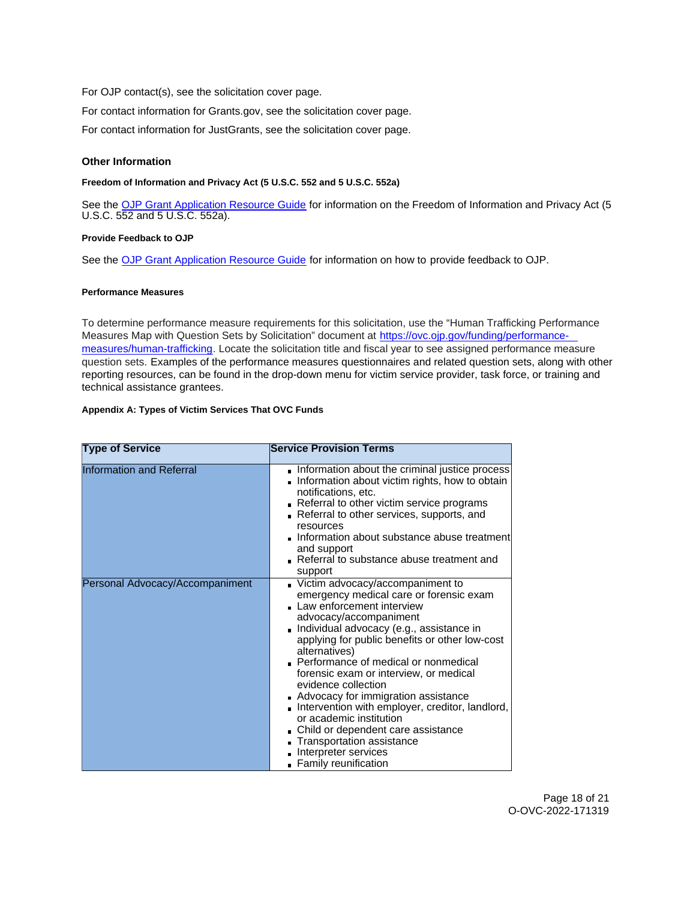<span id="page-17-0"></span>For OJP contact(s), see the solicitation cover page.

For contact information for [Grants.gov](https://Grants.gov), see the solicitation cover page.

For contact information for JustGrants, see the solicitation cover page.

## **Other Information**

## **Freedom of Information and Privacy Act (5 U.S.C. 552 and 5 U.S.C. 552a)**

See the [OJP Grant Application Resource Guide](https://www.ojp.gov/funding/apply/ojp-grant-application-resource-guide#foia) for information on the Freedom of Information and Privacy Act (5 U.S.C. 552 and 5 U.S.C. 552a).

## **Provide Feedback to OJP**

See the [OJP Grant Application Resource Guide](https://www.ojp.gov/funding/apply/ojp-grant-application-resource-guide#feedback) for information on how to provide feedback to OJP.

## **Performance Measures**

To determine performance measure requirements for this solicitation, use the "Human Trafficking Performance Measures Map with Question Sets by Solicitation" document at [https://ovc.ojp.gov/funding/performance](https://ovc.ojp.gov/funding/performance-measures/human-trafficking)[measures/human-trafficking.](https://ovc.ojp.gov/funding/performance-measures/human-trafficking) Locate the solicitation title and fiscal year to see assigned performance measure question sets. Examples of the performance measures questionnaires and related question sets, along with other reporting resources, can be found in the drop-down menu for victim service provider, task force, or training and technical assistance grantees.

## **Appendix A: Types of Victim Services That OVC Funds**

| <b>Type of Service</b>          | <b>Service Provision Terms</b>                                                                                                                                                                                                                                                                                                                                                                                                                                                                                                                                                                            |
|---------------------------------|-----------------------------------------------------------------------------------------------------------------------------------------------------------------------------------------------------------------------------------------------------------------------------------------------------------------------------------------------------------------------------------------------------------------------------------------------------------------------------------------------------------------------------------------------------------------------------------------------------------|
| <b>Information and Referral</b> | Information about the criminal justice process<br>Information about victim rights, how to obtain<br>notifications, etc.<br>Referral to other victim service programs<br>Referral to other services, supports, and<br>resources<br>Information about substance abuse treatment<br>and support<br>Referral to substance abuse treatment and<br>support                                                                                                                                                                                                                                                      |
| Personal Advocacy/Accompaniment | Victim advocacy/accompaniment to<br>emergency medical care or forensic exam<br>Law enforcement interview<br>advocacy/accompaniment<br>Individual advocacy (e.g., assistance in<br>applying for public benefits or other low-cost<br>alternatives)<br>Performance of medical or nonmedical<br>forensic exam or interview, or medical<br>evidence collection<br>Advocacy for immigration assistance<br>Intervention with employer, creditor, landlord,<br>or academic institution<br>Child or dependent care assistance<br>Transportation assistance<br>Interpreter services<br><b>Family reunification</b> |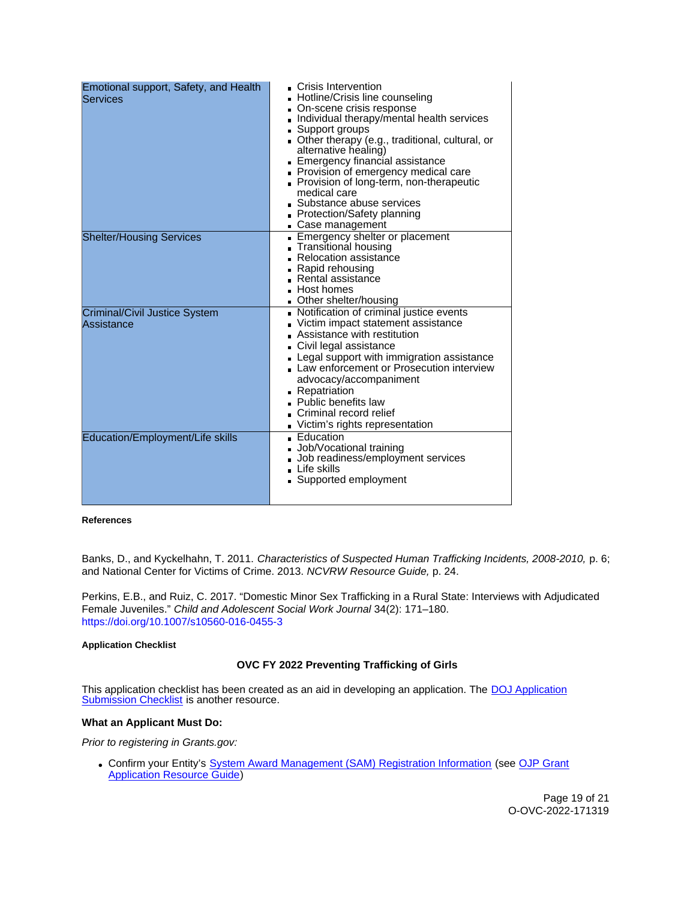<span id="page-18-0"></span>

| Emotional support, Safety, and Health<br>Services  | Crisis Intervention<br><b>Hotline/Crisis line counseling</b><br>On-scene crisis response<br>Individual therapy/mental health services<br>■ Support groups<br>Other therapy (e.g., traditional, cultural, or<br>alternative healing)<br>Emergency financial assistance<br>Provision of emergency medical care<br>Provision of long-term, non-therapeutic<br>medical care<br>■ Substance abuse services<br><b>Protection/Safety planning</b><br>Case management |
|----------------------------------------------------|---------------------------------------------------------------------------------------------------------------------------------------------------------------------------------------------------------------------------------------------------------------------------------------------------------------------------------------------------------------------------------------------------------------------------------------------------------------|
| <b>Shelter/Housing Services</b>                    | Emergency shelter or placement<br>Transitional housing<br>■ Relocation assistance<br>• Rapid rehousing<br>Rental assistance<br>Host homes<br>Other shelter/housing                                                                                                                                                                                                                                                                                            |
| <b>Criminal/Civil Justice System</b><br>Assistance | Notification of criminal justice events<br>Victim impact statement assistance<br>Assistance with restitution<br>Civil legal assistance<br>- Legal support with immigration assistance<br>Law enforcement or Prosecution interview<br>advocacy/accompaniment<br>Repatriation<br>• Public benefits law<br>Criminal record relief<br>Victim's rights representation                                                                                              |
| Education/Employment/Life skills                   | ■ Education<br>Job/Vocational training<br>Job readiness/employment services<br>$\blacksquare$ Life skills<br>Supported employment                                                                                                                                                                                                                                                                                                                             |

**References** 

Banks, D., and Kyckelhahn, T. 2011. Characteristics of Suspected Human Trafficking Incidents, 2008-2010, p. 6; and National Center for Victims of Crime. 2013. NCVRW Resource Guide, p. 24.

Perkins, E.B., and Ruiz, C. 2017. "Domestic Minor Sex Trafficking in a Rural State: Interviews with Adjudicated Female Juveniles." Child and Adolescent Social Work Journal 34(2): 171–180. <https://doi.org/10.1007/s10560-016-0455-3>

# **Application Checklist**

# **OVC FY 2022 Preventing Trafficking of Girls**

This application checklist has been created as an aid in developing an application. The **DOJ Application** [Submission Checklist](https://justicegrants.usdoj.gov/sites/g/files/xyckuh296/files/media/document/appln-submission-checklist.pdf) is another resource.

# **What an Applicant Must Do:**

Prior to registering in [Grants.gov](https://Grants.gov):

Confirm your Entity's [System Award Management \(SAM\)](https://sam.gov/SAM/) Registration Information (see [OJP Grant](https://www.ojp.gov/funding/apply/ojp-grant-application-resource-guide#apply)  [Application Resource Guide\)](https://www.ojp.gov/funding/apply/ojp-grant-application-resource-guide#apply)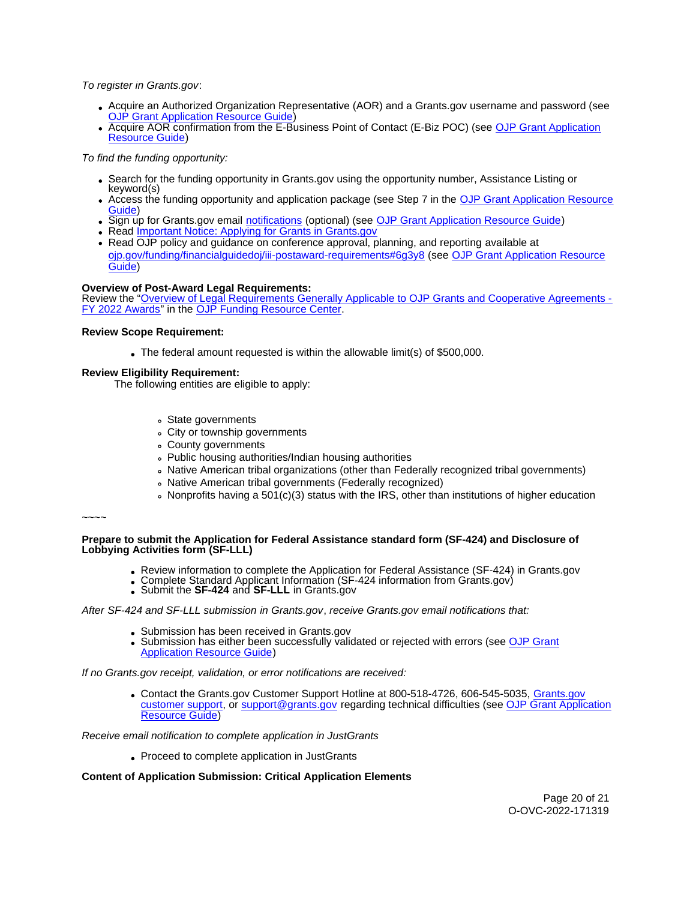To register in [Grants.gov](https://Grants.gov):

- Acquire an Authorized Organization Representative (AOR) and a [Grants.gov](https://Grants.gov) username and password (see [OJP Grant Application Resource Guide\)](https://www.ojp.gov/funding/apply/ojp-grant-application-resource-guide#apply)
- Acquire AOR confirmation from the E-Business Point of Contact (E-Biz POC) (see OJP Grant Application [Resource Guide\)](https://www.ojp.gov/funding/apply/ojp-grant-application-resource-guide#apply)

To find the funding opportunity:

- Search for the funding opportunity in [Grants.gov](https://Grants.gov) using the opportunity number, Assistance Listing or keyword(s)
- Access the funding opportunity and application package (see Step 7 in the [OJP Grant Application Resource](https://www.ojp.gov/funding/apply/ojp-grant-application-resource-guide#apply)  [Guide\)](https://www.ojp.gov/funding/apply/ojp-grant-application-resource-guide#apply)
- Sign up for [Grants.gov](https://Grants.gov) email [notifications](https://www.grants.gov/web/grants/manage-subscriptions.html) (optional) (see [OJP Grant Application Resource Guide\)](https://www.ojp.gov/funding/apply/ojp-grant-application-resource-guide#apply)
- Read Important Notice: Applying for Grants in Grants.gov
- Read OJP policy and guidance on conference approval, planning, and reporting available at [ojp.gov/funding/financialguidedoj/iii-postaward-requirements#6g3y8](https://www.ojp.gov/funding/financialguidedoj/iii-postaward-requirements#6g3y8) (see [OJP Grant Application Resource](https://www.ojp.gov/funding/apply/ojp-grant-application-resource-guide#prior-approval)  [Guide\)](https://www.ojp.gov/funding/apply/ojp-grant-application-resource-guide#prior-approval)

## **Overview of Post-Award Legal Requirements:**

Review the "[Overview of Legal Requirements Generally Applicable to OJP Grants and Cooperative Agreements -](https://www.ojp.gov/funding/explore/legal-overview-awards) [FY 2022 Awards"](https://www.ojp.gov/funding/explore/legal-overview-awards) in the [OJP Funding Resource Center.](https://www.ojp.gov/funding/explore/legal-overview-awards)

#### **Review Scope Requirement:**

The federal amount requested is within the allowable limit(s) of \$500,000.

## **Review Eligibility Requirement:**

The following entities are eligible to apply:

- State governments
- City or township governments
- County governments
- Public housing authorities/Indian housing authorities
- Native American tribal organizations (other than Federally recognized tribal governments)
- Native American tribal governments (Federally recognized)
- Nonprofits having a 501(c)(3) status with the IRS, other than institutions of higher education

~~~~

**Prepare to submit the Application for Federal Assistance standard form (SF-424) and Disclosure of Lobbying Activities form (SF-LLL)** 

- Review information to complete the Application for Federal Assistance (SF-424) in [Grants.gov](https://Grants.gov)<br>• Complete Standard Applicant Information (SF-424 information from [Grants.gov\)](https://Grants.gov)<br>• Submit the SF-424 and SF-LLL in Grants.gov
- 
- 

### After SF-424 and SF-LLL submission in [Grants.gov](https://Grants.gov), receive [Grants.gov](https://Grants.gov) email notifications that:

- Submission has been received in [Grants.gov](https://Grants.gov)
- Submission has either been successfully validated or rejected with errors (see OJP Grant [Application Resource Guide\)](https://ojp.gov/funding/Apply/Resources/Grant-App-Resource-Guide.htm)

If no [Grants.gov](https://Grants.gov) receipt, validation, or error notifications are received:

• Contact the [Grants.gov](https://www.grants.gov/web/grants/support.html) Customer Support Hotline at 800-518-4726, 606-545-5035, Grants.gov [customer support,](https://www.grants.gov/web/grants/support.html) or [support@grants.gov](mailto:support@grants.gov) regarding technical difficulties (see [OJP Grant Application](https://ojp.gov/funding/Apply/Resources/Grant-App-Resource-Guide.htm)  [Resource Guide\)](https://ojp.gov/funding/Apply/Resources/Grant-App-Resource-Guide.htm)

Receive email notification to complete application in JustGrants

Proceed to complete application in JustGrants

# **Content of Application Submission: Critical Application Elements**